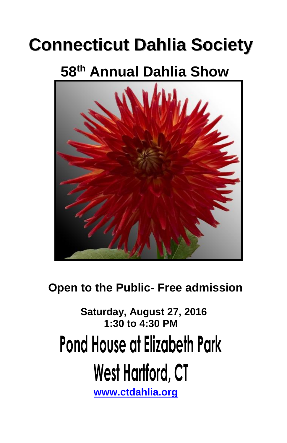## **Connecticut Dahlia Society**

## **58 th Annual Dahlia Show**



 **Open to the Public- Free admission**

 **Saturday, August 27, 2016 1:30 to 4:30 PM**

# **Pond House at Elizabeth Park**

# **West Hartford, CT**

 **[www.ctdahlia.org](http://www.ctdahlia.org/)**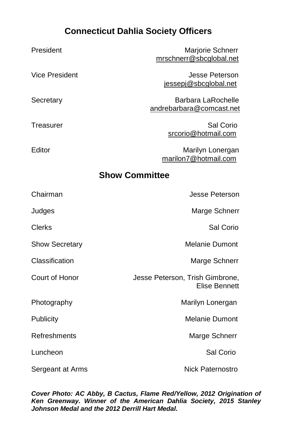#### **Connecticut Dahlia Society Officers**

| President             | Marjorie Schnerr<br>mrschnerr@sbcglobal.net             |
|-----------------------|---------------------------------------------------------|
| Vice President        | Jesse Peterson<br>jessepj@sbcglobal.net                 |
| Secretary             | <b>Barbara LaRochelle</b><br>andrebarbara@comcast.net   |
| Treasurer             | Sal Corio<br>srcorio@hotmail.com                        |
| Editor                | Marilyn Lonergan<br>marilon7@hotmail.com                |
|                       | <b>Show Committee</b>                                   |
| Chairman              | Jesse Peterson                                          |
| Judges                | Marge Schnerr                                           |
| Clerks                | Sal Corio                                               |
| <b>Show Secretary</b> | <b>Melanie Dumont</b>                                   |
| Classification        | Marge Schnerr                                           |
| Court of Honor        | Jesse Peterson, Trish Gimbrone,<br><b>Elise Bennett</b> |
| Photography           | Marilyn Lonergan                                        |
| Publicity             | <b>Melanie Dumont</b>                                   |
| Refreshments          | Marge Schnerr                                           |
| Luncheon              | Sal Corio                                               |
| Sergeant at Arms      | Nick Paternostro                                        |

*Cover Photo: AC Abby, B Cactus, Flame Red/Yellow, 2012 Origination of Ken Greenway. Winner of the American Dahlia Society, 2015 Stanley Johnson Medal and the 2012 Derrill Hart Medal.*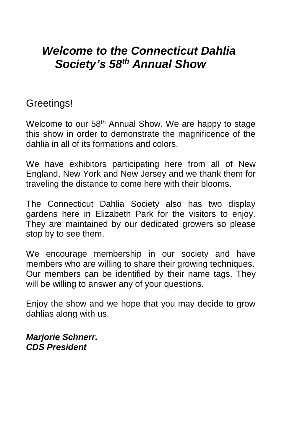## *Welcome to the Connecticut Dahlia Society's 58th Annual Show*

#### Greetings!

Welcome to our 58<sup>th</sup> Annual Show. We are happy to stage this show in order to demonstrate the magnificence of the dahlia in all of its formations and colors.

We have exhibitors participating here from all of New England, New York and New Jersey and we thank them for traveling the distance to come here with their blooms.

The Connecticut Dahlia Society also has two display gardens here in Elizabeth Park for the visitors to enjoy. They are maintained by our dedicated growers so please stop by to see them.

We encourage membership in our society and have members who are willing to share their growing techniques. Our members can be identified by their name tags. They will be willing to answer any of your questions.

Enjoy the show and we hope that you may decide to grow dahlias along with us.

*Marjorie Schnerr. CDS President*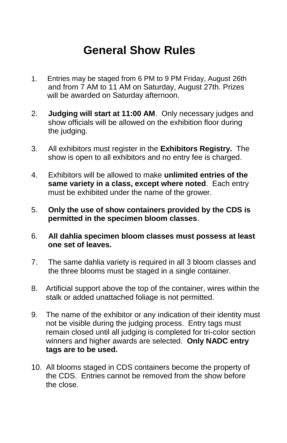## **General Show Rules**

- 1. Entries may be staged from 6 PM to 9 PM Friday, August 26th and from 7 AM to 11 AM on Saturday, August 27th. Prizes will be awarded on Saturday afternoon.
- 2. **Judging will start at 11:00 AM**. Only necessary judges and show officials will be allowed on the exhibition floor during the judging.
- 3. All exhibitors must register in the **Exhibitors Registry.** The show is open to all exhibitors and no entry fee is charged.
- 4. Exhibitors will be allowed to make **unlimited entries of the same variety in a class, except where noted**. Each entry must be exhibited under the name of the grower.
- 5. **Only the use of show containers provided by the CDS is permitted in the specimen bloom classes**.
- 6. **All dahlia specimen bloom classes must possess at least one set of leaves.**
- 7. The same dahlia variety is required in all 3 bloom classes and the three blooms must be staged in a single container.
- 8. Artificial support above the top of the container, wires within the stalk or added unattached foliage is not permitted.
- 9. The name of the exhibitor or any indication of their identity must not be visible during the judging process. Entry tags must remain closed until all judging is completed for tri-color section winners and higher awards are selected. **Only NADC entry tags are to be used.**
- 10. All blooms staged in CDS containers become the property of the CDS. Entries cannot be removed from the show before the close.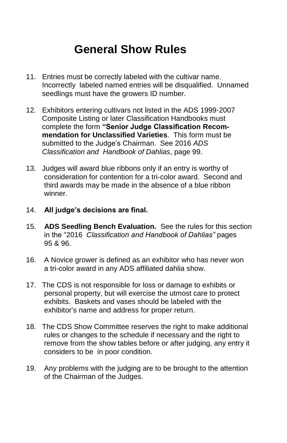## **General Show Rules**

- 11. Entries must be correctly labeled with the cultivar name. Incorrectly labeled named entries will be disqualified. Unnamed seedlings must have the growers ID number.
- 12. Exhibitors entering cultivars not listed in the ADS 1999-2007 Composite Listing or later Classification Handbooks must complete the form **"Senior Judge Classification Recommendation for Unclassified Varieties**. This form must be submitted to the Judge's Chairman. See 2016 *ADS Classification and Handbook of Dahlias*, page 99.
- 13. Judges will award blue ribbons only if an entry is worthy of consideration for contention for a tri-color award. Second and third awards may be made in the absence of a blue ribbon winner.
- 14. **All judge's decisions are final.**
- 15. **ADS Seedling Bench Evaluation.** See the rules for this section in the "2016 *Classification and Handbook of Dahlias"* pages 95 & 96.
- 16. A Novice grower is defined as an exhibitor who has never won a tri-color award in any ADS affiliated dahlia show.
- 17. The CDS is not responsible for loss or damage to exhibits or personal property, but will exercise the utmost care to protect exhibits. Baskets and vases should be labeled with the exhibitor's name and address for proper return.
- 18. The CDS Show Committee reserves the right to make additional rules or changes to the schedule if necessary and the right to remove from the show tables before or after judging, any entry it considers to be in poor condition.
- 19. Any problems with the judging are to be brought to the attention of the Chairman of the Judges.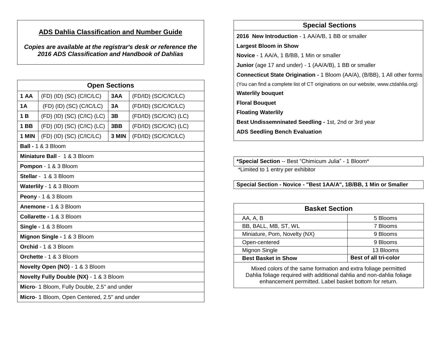#### **ADS Dahlia Classification and Number Guide**

*Copies are available at the registrar's desk or reference the 2016 ADS Classification and Handbook of Dahlias*

| <b>Open Sections</b>                          |                            |       |                              |  |
|-----------------------------------------------|----------------------------|-------|------------------------------|--|
| 1 AA                                          | (FD) (ID) (SC) (C/IC/LC)   | 3AA   | (FD/ID) (SC/C/IC/LC)         |  |
| 1A                                            | $(FD)$ (ID) (SC) (C/IC/LC) | 3A    | (FD/ID) (SC/C/IC/LC)         |  |
| 1 B                                           | (FD) (ID) (SC) (C/IC) (LC) | 3B    | $(FD/ID)$ $(SC/C/IC)$ $(LC)$ |  |
| 1 BB                                          | (FD) (ID) (SC) (C/IC) (LC) | 3BB   | $(FD/ID)$ $(SC/C/IC)$ $(LC)$ |  |
| 1 MIN                                         | $(FD)$ (ID) (SC) (C/IC/LC) | 3 MIN | (FD/ID) (SC/C/IC/LC)         |  |
| Ball - 1 & 3 Bloom                            |                            |       |                              |  |
| Miniature Ball - 1 & 3 Bloom                  |                            |       |                              |  |
| Pompon - 1 & 3 Bloom                          |                            |       |                              |  |
| Stellar - 1 & 3 Bloom                         |                            |       |                              |  |
| Waterlily - 1 & 3 Bloom                       |                            |       |                              |  |
| Peony - 1 & 3 Bloom                           |                            |       |                              |  |
| Anemone - 1 & 3 Bloom                         |                            |       |                              |  |
| Collarette - 1 & 3 Bloom                      |                            |       |                              |  |
| Single - 1 & 3 Bloom                          |                            |       |                              |  |
| Mignon Single - 1 & 3 Bloom                   |                            |       |                              |  |
| Orchid - 1 & 3 Bloom                          |                            |       |                              |  |
| Orchette - 1 & 3 Bloom                        |                            |       |                              |  |
| Novelty Open (NO) - 1 & 3 Bloom               |                            |       |                              |  |
| Novelty Fully Double (NX) - 1 & 3 Bloom       |                            |       |                              |  |
| Micro- 1 Bloom, Fully Double, 2.5" and under  |                            |       |                              |  |
| Micro- 1 Bloom, Open Centered, 2.5" and under |                            |       |                              |  |

#### **Special Sections**

**2016 New Introduction** - 1 AA/A/B, 1 BB or smaller

#### **Largest Bloom in Show**

**Novice** - 1 AA/A, 1 B/BB, 1 Min or smaller

**Junior** (age 17 and under) - 1 (AA/A/B), 1 BB or smaller

**Connecticut State Origination -** 1 Bloom (AA/A), (B/BB), 1 All other forms

(You can find a complete list of CT originations on our website, www.ctdahlia.org)

**Waterlily bouquet**

**Floral Bouquet**

**Floating Waterlily**

**Best Undissemninated Seedling -** 1st, 2nd or 3rd year

**ADS Seedling Bench Evaluation**

**\*Special Section** -- Best "Chimicum Julia" - 1 Bloom\*

\*Limited to 1 entry per exhibitor

**Special Section - Novice - "Best 1AA/A", 1B/BB, 1 Min or Smaller**

| <b>Basket Section</b>        |                       |  |
|------------------------------|-----------------------|--|
| AA, A, B                     | 5 Blooms              |  |
| BB, BALL, MB, ST, WL         | 7 Blooms              |  |
| Miniature, Pom, Novelty (NX) | 9 Blooms              |  |
| Open-centered                | 9 Blooms              |  |
| Mignon Single                | 13 Blooms             |  |
| <b>Best Basket in Show</b>   | Best of all tri-color |  |

**winners** Mixed colors of the same formation and extra foliage permitted Dahlia foliage required with additional dahlia and non-dahlia foliage enhancement permitted. Label basket bottom for return.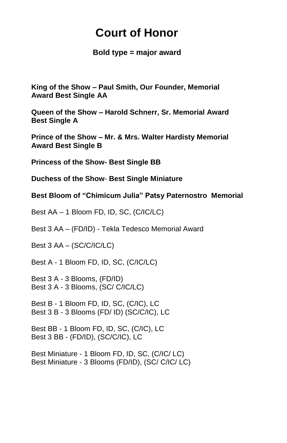## **Court of Honor**

 **Bold type = major award**

**King of the Show – Paul Smith, Our Founder, Memorial Award Best Single AA**

**Queen of the Show – Harold Schnerr, Sr. Memorial Award Best Single A**

**Prince of the Show – Mr. & Mrs. Walter Hardisty Memorial Award Best Single B**

**Princess of the Show- Best Single BB**

**Duchess of the Show**- **Best Single Miniature**

**Best Bloom of "Chimicum Julia" Patsy Paternostro Memorial**

Best AA – 1 Bloom FD, ID, SC, (C/IC/LC)

Best 3 AA – (FD/ID) - Tekla Tedesco Memorial Award

Best 3 AA – (SC/C/IC/LC)

Best A - 1 Bloom FD, ID, SC, (C/IC/LC)

Best 3 A - 3 Blooms, (FD/ID) Best 3 A - 3 Blooms, (SC/ C/IC/LC)

Best B - 1 Bloom FD, ID, SC, (C/IC), LC Best 3 B - 3 Blooms (FD/ ID) (SC/C/IC), LC

Best BB - 1 Bloom FD, ID, SC, (C/IC), LC Best 3 BB - (FD/ID), (SC/C/IC), LC

Best Miniature - 1 Bloom FD, ID, SC, (C/IC/ LC) Best Miniature - 3 Blooms (FD/ID), (SC/ C/IC/ LC)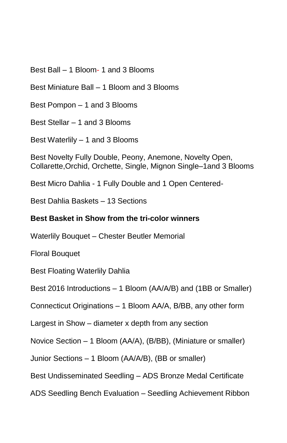Best Ball – 1 Bloom- 1 and 3 Blooms

Best Miniature Ball – 1 Bloom and 3 Blooms

Best Pompon – 1 and 3 Blooms

Best Stellar – 1 and 3 Blooms

Best Waterlily – 1 and 3 Blooms

Best Novelty Fully Double, Peony, Anemone, Novelty Open, Collarette,Orchid, Orchette, Single, Mignon Single–1and 3 Blooms

Best Micro Dahlia - 1 Fully Double and 1 Open Centered-

Best Dahlia Baskets – 13 Sections

#### **Best Basket in Show from the tri-color winners**

Waterlily Bouquet – Chester Beutler Memorial

Floral Bouquet

Best Floating Waterlily Dahlia

Best 2016 Introductions – 1 Bloom (AA/A/B) and (1BB or Smaller)

Connecticut Originations – 1 Bloom AA/A, B/BB, any other form

Largest in Show – diameter x depth from any section

Novice Section – 1 Bloom (AA/A), (B/BB), (Miniature or smaller)

Junior Sections – 1 Bloom (AA/A/B), (BB or smaller)

Best Undisseminated Seedling – ADS Bronze Medal Certificate

ADS Seedling Bench Evaluation – Seedling Achievement Ribbon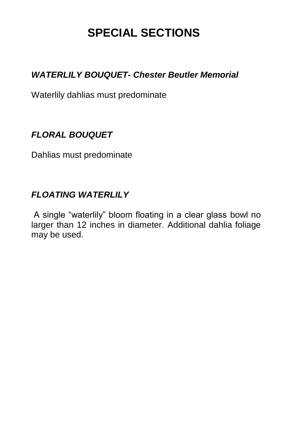## **SPECIAL SECTIONS**

#### *WATERLILY BOUQUET- Chester Beutler Memorial*

Waterlily dahlias must predominate

#### *FLORAL BOUQUET*

Dahlias must predominate

#### *FLOATING WATERLILY*

A single "waterlily" bloom floating in a clear glass bowl no larger than 12 inches in diameter. Additional dahlia foliage may be used.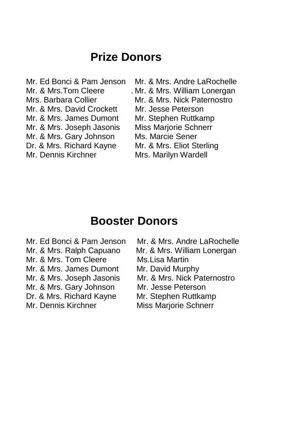### **Prize Donors**

Mr. & Mrs. David Crockett Mr. Jesse Peterson Mr. & Mrs. James Dumont Mr. Stephen Ruttkamp Mr. & Mrs. Joseph Jasonis Miss Marjorie Schnerr Mr. & Mrs. Gary Johnson Ms. Marcie Sener Dr. & Mrs. Richard Kayne Mr. & Mrs. Eliot Sterling Mr. Dennis Kirchner Mrs. Marilyn Wardell

Mr. Ed Bonci & Pam Jenson Mr. & Mrs. Andre LaRochelle Mr. & Mrs.Tom Cleere . Mr. & Mrs. William Lonergan Mrs. Barbara Collier Mr. & Mrs. Nick Paternostro

### **Booster Donors**

- 
- 
- Mr. & Mrs. Tom Cleere Ms. Lisa Martin
- Mr. & Mrs. James Dumont Mr. David Murphy
- 
- Mr. & Mrs. Gary Johnson Mr. Jesse Peterson
- Dr. & Mrs. Richard Kayne Mr. Stephen Ruttkamp
- 

Mr. Ed Bonci & Pam Jenson Mr. & Mrs. Andre LaRochelle

- Mr. & Mrs. Ralph Capuano Mr. & Mrs. William Lonergan
	-
	-
- Mr. & Mrs. Joseph Jasonis Mr. & Mrs. Nick Paternostro
	-
	-
- Mr. Dennis Kirchner Miss Marjorie Schnerr